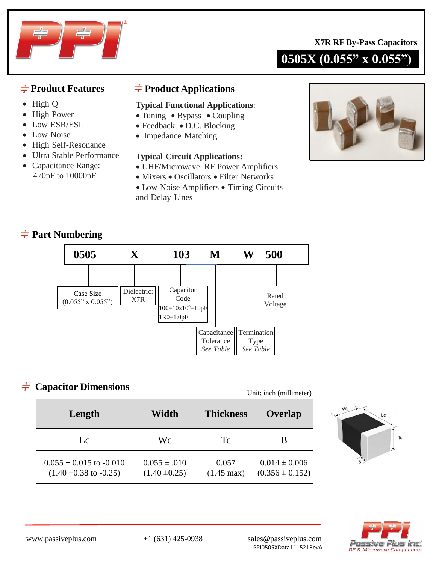**0505X (0.055" x 0.055")**



- High Q
- High Power
- Low ESR/ESL
- Low Noise
- High Self-Resonance
- Ultra Stable Performance
- Capacitance Range: 470pF to 10000pF

## $\frac{1}{\sqrt{2}}$  **Product Features** → **Product Applications**

### **Typical Functional Applications**:

- Tuning Bypass Coupling
- Feedback D.C. Blocking
- Impedance Matching

### **Typical Circuit Applications:**

- UHF/Microwave RF Power Amplifiers
- Mixers Oscillators Filter Networks
- Low Noise Amplifiers Timing Circuits and Delay Lines



## **Part Numbering**



#### **Capacitor Dimensions**  $\div$

Unit: inch (millimeter)

| Length                                                      | Width                                 | <b>Thickness</b>              | Overlap                                  |  |
|-------------------------------------------------------------|---------------------------------------|-------------------------------|------------------------------------------|--|
| $L_{\mathcal{C}}$                                           | Wс                                    | Tс                            | В                                        |  |
| $0.055 + 0.015$ to $-0.010$<br>$(1.40 + 0.38)$ to $-0.25$ ) | $0.055 \pm .010$<br>$(1.40 \pm 0.25)$ | 0.057<br>$(1.45 \text{ max})$ | $0.014 \pm 0.006$<br>$(0.356 \pm 0.152)$ |  |



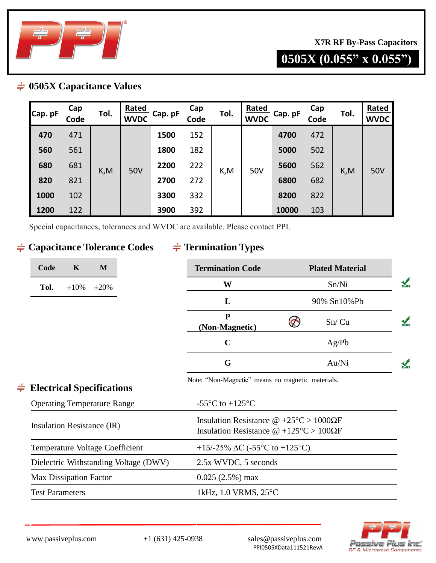

## **0505X (0.055" x 0.055")**

## **0505X Capacitance Values**

| Cap. pF | Cap<br>Code | Tol. | Rated<br><b>WVDC</b> | Cap. pF | Cap<br>Code | Tol. | <b>Rated</b><br><b>WVDC</b> | Cap. pF | Cap<br>Code | Tol. | Rated<br><b>WVDC</b> |
|---------|-------------|------|----------------------|---------|-------------|------|-----------------------------|---------|-------------|------|----------------------|
| 470     | 471         | K,M  | 50V                  | 1500    | 152         | K,M  | 50V                         | 4700    | 472         | K, M | 50V                  |
| 560     | 561         |      |                      | 1800    | 182         |      |                             | 5000    | 502         |      |                      |
| 680     | 681         |      |                      | 2200    | 222         |      |                             | 5600    | 562         |      |                      |
| 820     | 821         |      |                      | 2700    | 272         |      |                             | 6800    | 682         |      |                      |
| 1000    | 102         |      |                      | 3300    | 332         |      |                             | 8200    | 822         |      |                      |
| 1200    | 122         |      |                      | 3900    | 392         |      |                             | 10000   | 103         |      |                      |

Special capacitances, tolerances and WVDC are available. Please contact PPI.

## $\div$  **Capacitance Tolerance Codes**

## $\frac{1}{\sqrt{7}}$  **Termination Types**

| M<br>Code<br>K                        | <b>Termination Code</b>                                                                                          | <b>Plated Material</b> |  |  |
|---------------------------------------|------------------------------------------------------------------------------------------------------------------|------------------------|--|--|
| Tol.<br>$\pm 10\%$<br>$\pm 20\%$      | W                                                                                                                | Sn/Ni                  |  |  |
|                                       | L                                                                                                                | 90% Sn10%Pb            |  |  |
|                                       | ${\bf P}$<br>(Non-Magnetic)                                                                                      | Sn/Cu                  |  |  |
|                                       | $\mathbf C$                                                                                                      | Ag/Pb                  |  |  |
|                                       | G                                                                                                                | Au/Ni                  |  |  |
| $\div$ Electrical Specifications      | Note: "Non-Magnetic" means no magnetic materials.                                                                |                        |  |  |
| <b>Operating Temperature Range</b>    | -55 $\mathrm{^{\circ}C}$ to +125 $\mathrm{^{\circ}C}$                                                            |                        |  |  |
| Insulation Resistance (IR)            | Insulation Resistance $\omega$ +25°C > 1000 $\Omega$ F<br>Insulation Resistance $\omega$ +125°C > 100 $\Omega$ F |                        |  |  |
| Temperature Voltage Coefficient       | +15/-25% $\Delta C$ (-55°C to +125°C)                                                                            |                        |  |  |
| Dielectric Withstanding Voltage (DWV) | 2.5x WVDC, 5 seconds                                                                                             |                        |  |  |
| <b>Max Dissipation Factor</b>         | $0.025(2.5%)$ max                                                                                                |                        |  |  |

Test Parameters 1kHz, 1.0 VRMS, 25°C

www.passiveplus.com +1 (631) 425-0938 sales@passiveplus.com PPI0505XData111521RevA

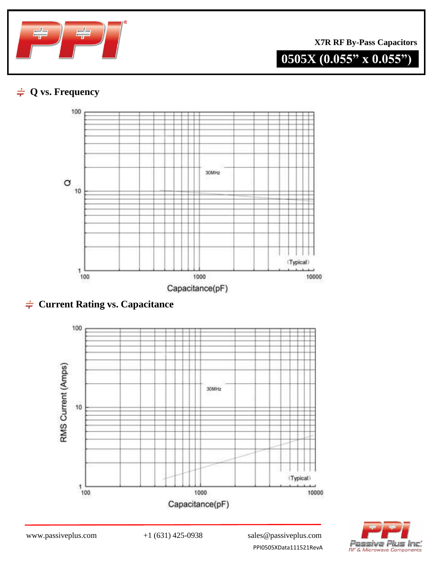

# **0505X (0.055" x 0.055")**

## **Q vs. Frequency**







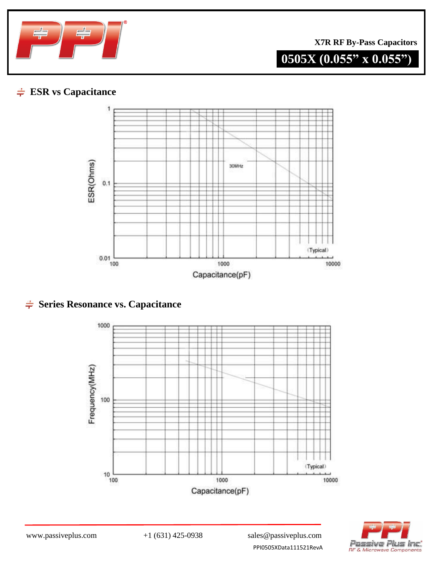

# **0505X (0.055" x 0.055")**

## **ESR vs Capacitance**



## $\div$  **Series Resonance vs. Capacitance**